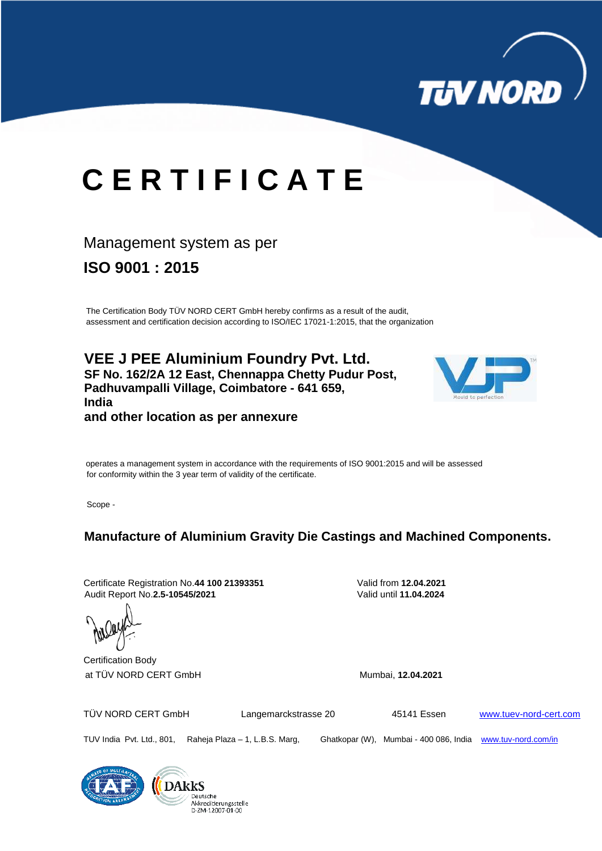

# **C E R T I F I C A T E**

### Management system as per

**ISO 9001 : 2015**

The Certification Body TÜV NORD CERT GmbH hereby confirms as a result of the audit, assessment and certification decision according to ISO/IEC 17021-1:2015, that the organization

**VEE J PEE Aluminium Foundry Pvt. Ltd. SF No. 162/2A 12 East, Chennappa Chetty Pudur Post, Padhuvampalli Village, Coimbatore - 641 659, India and other location as per annexure**



operates a management system in accordance with the requirements of ISO 9001:2015 and will be assessed for conformity within the 3 year term of validity of the certificate.

Scope -

**Manufacture of Aluminium Gravity Die Castings and Machined Components.**

Certificate Registration No.**44 100 21393351** Valid from **12.04.2021** Audit Report No.**2.5-10545/2021** Valid until **11.04.2024**

Deutsche

Akkreditierungsstelle



TÜV NORD CERT GmbH Langemarckstrasse 20 45141 Essen [www.tuev-nord-cert.com](http://www.tuev-nord-cert.com/)

TUV India Pvt. Ltd., 801, Raheja Plaza – 1, L.B.S. Marg, Ghatkopar (W), Mumbai - 400 086, India [www.tuv-nord.com/in](http://www.tuv-nord.com/in)